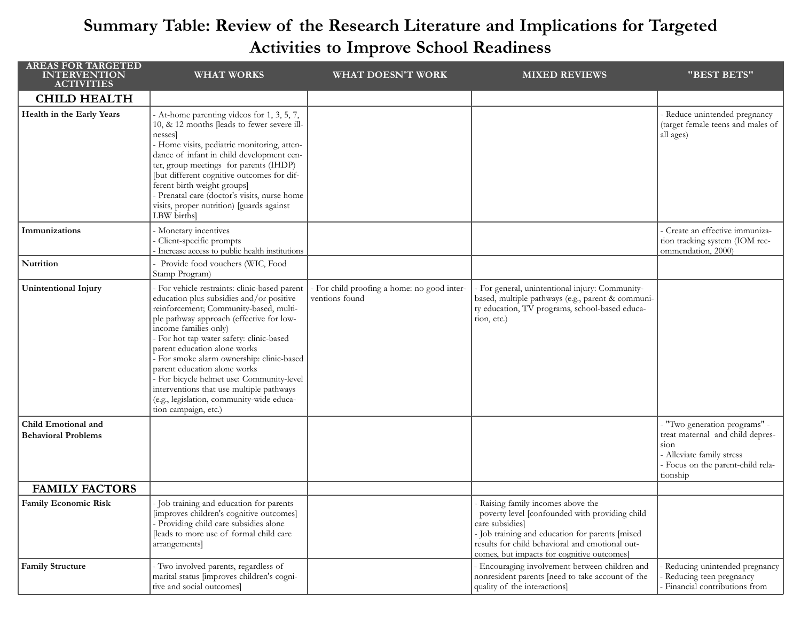## Summary Table: Review of the Research Literature and Implications for Targeted Activities to Improve School Readiness

| <b>AREAS FOR TARGETED</b><br><b>INTERVENTION</b><br><b>ACTIVITIES</b> | <b>WHAT WORKS</b>                                                                                                                                                                                                                                                                                                                                                                                                                                                                                                               | WHAT DOESN'T WORK                                             | <b>MIXED REVIEWS</b>                                                                                                                                                                                                                                      | "BEST BETS"                                                                                                                                           |
|-----------------------------------------------------------------------|---------------------------------------------------------------------------------------------------------------------------------------------------------------------------------------------------------------------------------------------------------------------------------------------------------------------------------------------------------------------------------------------------------------------------------------------------------------------------------------------------------------------------------|---------------------------------------------------------------|-----------------------------------------------------------------------------------------------------------------------------------------------------------------------------------------------------------------------------------------------------------|-------------------------------------------------------------------------------------------------------------------------------------------------------|
| <b>CHILD HEALTH</b>                                                   |                                                                                                                                                                                                                                                                                                                                                                                                                                                                                                                                 |                                                               |                                                                                                                                                                                                                                                           |                                                                                                                                                       |
| Health in the Early Years                                             | - At-home parenting videos for 1, 3, 5, 7,<br>10, & 12 months [leads to fewer severe ill-<br>nesses]<br>- Home visits, pediatric monitoring, atten-<br>dance of infant in child development cen-<br>ter, group meetings for parents (IHDP)<br>[but different cognitive outcomes for dif-<br>ferent birth weight groups]<br>- Prenatal care (doctor's visits, nurse home<br>visits, proper nutrition) [guards against<br>LBW births]                                                                                             |                                                               |                                                                                                                                                                                                                                                           | - Reduce unintended pregnancy<br>(target female teens and males of<br>all ages)                                                                       |
| Immunizations                                                         | - Monetary incentives<br>- Client-specific prompts<br>Increase access to public health institutions                                                                                                                                                                                                                                                                                                                                                                                                                             |                                                               |                                                                                                                                                                                                                                                           | - Create an effective immuniza-<br>tion tracking system (IOM rec-<br>ommendation, 2000)                                                               |
| Nutrition                                                             | Provide food vouchers (WIC, Food<br>Stamp Program)                                                                                                                                                                                                                                                                                                                                                                                                                                                                              |                                                               |                                                                                                                                                                                                                                                           |                                                                                                                                                       |
| <b>Unintentional Injury</b>                                           | - For vehicle restraints: clinic-based parent<br>education plus subsidies and/or positive<br>reinforcement; Community-based, multi-<br>ple pathway approach (effective for low-<br>income families only)<br>- For hot tap water safety: clinic-based<br>parent education alone works<br>- For smoke alarm ownership: clinic-based<br>parent education alone works<br>- For bicycle helmet use: Community-level<br>interventions that use multiple pathways<br>(e.g., legislation, community-wide educa-<br>tion campaign, etc.) | - For child proofing a home: no good inter-<br>ventions found | - For general, unintentional injury: Community-<br>based, multiple pathways (e.g., parent & communi-<br>ty education, TV programs, school-based educa-<br>tion, etc.)                                                                                     |                                                                                                                                                       |
| Child Emotional and<br><b>Behavioral Problems</b>                     |                                                                                                                                                                                                                                                                                                                                                                                                                                                                                                                                 |                                                               |                                                                                                                                                                                                                                                           | "Two generation programs" -<br>treat maternal and child depres-<br>sion<br>- Alleviate family stress<br>- Focus on the parent-child rela-<br>tionship |
| <b>FAMILY FACTORS</b>                                                 |                                                                                                                                                                                                                                                                                                                                                                                                                                                                                                                                 |                                                               |                                                                                                                                                                                                                                                           |                                                                                                                                                       |
| Family Economic Risk                                                  | - Job training and education for parents<br>[improves children's cognitive outcomes]<br>- Providing child care subsidies alone<br>[leads to more use of formal child care<br>arrangements]                                                                                                                                                                                                                                                                                                                                      |                                                               | Raising family incomes above the<br>poverty level [confounded with providing child<br>care subsidies]<br>- Job training and education for parents [mixed<br>results for child behavioral and emotional out-<br>comes, but impacts for cognitive outcomes] |                                                                                                                                                       |
| <b>Family Structure</b>                                               | - Two involved parents, regardless of<br>marital status [improves children's cogni-<br>tive and social outcomes]                                                                                                                                                                                                                                                                                                                                                                                                                |                                                               | - Encouraging involvement between children and<br>nonresident parents [need to take account of the<br>quality of the interactions]                                                                                                                        | Reducing unintended pregnancy<br>Reducing teen pregnancy<br>- Financial contributions from                                                            |